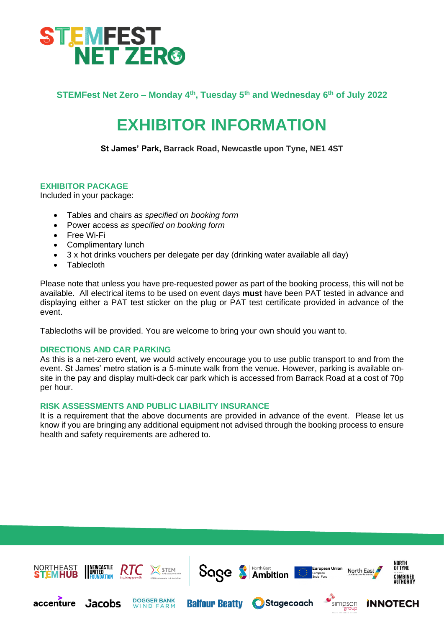

**STEMFest Net Zero – Monday 4th, Tuesday 5th and Wednesday 6th of July 2022**

# **EXHIBITOR INFORMATION**

**St James' Park, Barrack Road, Newcastle upon Tyne, NE1 4ST**

# **EXHIBITOR PACKAGE**

Included in your package:

- Tables and chairs *as specified on booking form*
- Power access *as specified on booking form*
- Free Wi-Fi
- Complimentary lunch
- 3 x hot drinks vouchers per delegate per day (drinking water available all day)
- **Tablecloth**

Please note that unless you have pre-requested power as part of the booking process, this will not be available. All electrical items to be used on event days **must** have been PAT tested in advance and displaying either a PAT test sticker on the plug or PAT test certificate provided in advance of the event.

Tablecloths will be provided. You are welcome to bring your own should you want to.

# **DIRECTIONS AND CAR PARKING**

As this is a net-zero event, we would actively encourage you to use public transport to and from the event. St James' metro station is a 5-minute walk from the venue. However, parking is available onsite in the pay and display multi-deck car park which is accessed from Barrack Road at a cost of 70p per hour.

# **RISK ASSESSMENTS AND PUBLIC LIABILITY INSURANCE**

It is a requirement that the above documents are provided in advance of the event. Please let us know if you are bringing any additional equipment not advised through the booking process to ensure health and safety requirements are adhered to.

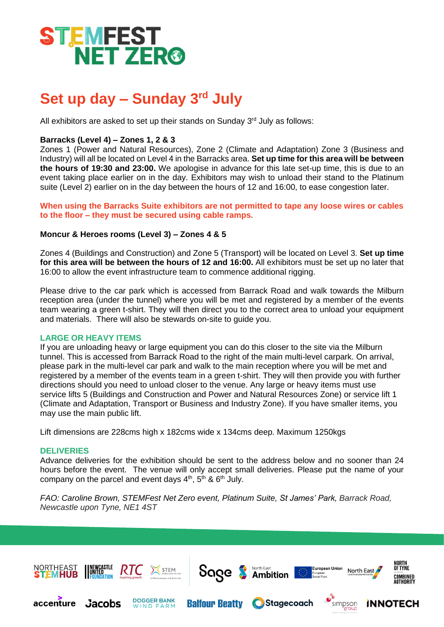

# **Set up day – Sunday 3rd July**

All exhibitors are asked to set up their stands on Sunday  $3<sup>rd</sup>$  July as follows:

# **Barracks (Level 4) – Zones 1, 2 & 3**

Zones 1 (Power and Natural Resources), Zone 2 (Climate and Adaptation) Zone 3 (Business and Industry) will all be located on Level 4 in the Barracks area. **Set up time for this area will be between the hours of 19:30 and 23:00.** We apologise in advance for this late set-up time, this is due to an event taking place earlier on in the day. Exhibitors may wish to unload their stand to the Platinum suite (Level 2) earlier on in the day between the hours of 12 and 16:00, to ease congestion later.

**When using the Barracks Suite exhibitors are not permitted to tape any loose wires or cables to the floor – they must be secured using cable ramps.** 

# **Moncur & Heroes rooms (Level 3) – Zones 4 & 5**

Zones 4 (Buildings and Construction) and Zone 5 (Transport) will be located on Level 3. **Set up time for this area will be between the hours of 12 and 16:00.** All exhibitors must be set up no later that 16:00 to allow the event infrastructure team to commence additional rigging.

Please drive to the car park which is accessed from Barrack Road and walk towards the Milburn reception area (under the tunnel) where you will be met and registered by a member of the events team wearing a green t-shirt. They will then direct you to the correct area to unload your equipment and materials. There will also be stewards on-site to guide you.

# **LARGE OR HEAVY ITEMS**

If you are unloading heavy or large equipment you can do this closer to the site via the Milburn tunnel. This is accessed from Barrack Road to the right of the main multi-level carpark. On arrival, please park in the multi-level car park and walk to the main reception where you will be met and registered by a member of the events team in a green t-shirt. They will then provide you with further directions should you need to unload closer to the venue. Any large or heavy items must use service lifts 5 (Buildings and Construction and Power and Natural Resources Zone) or service lift 1 (Climate and Adaptation, Transport or Business and Industry Zone). If you have smaller items, you may use the main public lift.

Lift dimensions are 228cms high x 182cms wide x 134cms deep. Maximum 1250kgs

#### **DELIVERIES**

Advance deliveries for the exhibition should be sent to the address below and no sooner than 24 hours before the event. The venue will only accept small deliveries. Please put the name of your company on the parcel and event days  $4<sup>th</sup>$ ,  $5<sup>th</sup>$  &  $6<sup>th</sup>$  July.

*FAO: Caroline Brown, STEMFest Net Zero event, Platinum Suite, St James' Park, Barrack Road, Newcastle upon Tyne, NE1 4ST*

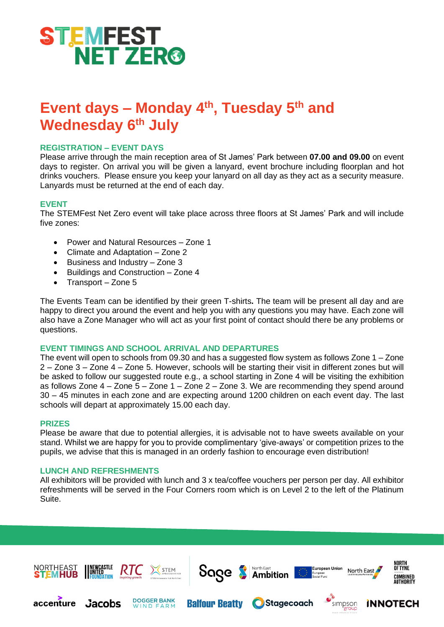

# **Event days – Monday 4th, Tuesday 5th and Wednesday 6th July**

# **REGISTRATION – EVENT DAYS**

Please arrive through the main reception area of St James' Park between **07.00 and 09.00** on event days to register. On arrival you will be given a lanyard, event brochure including floorplan and hot drinks vouchers. Please ensure you keep your lanyard on all day as they act as a security measure. Lanyards must be returned at the end of each day.

# **EVENT**

The STEMFest Net Zero event will take place across three floors at St James' Park and will include five zones:

- Power and Natural Resources Zone 1
- Climate and Adaptation Zone 2
- Business and Industry Zone 3
- Buildings and Construction Zone 4
- Transport Zone 5

The Events Team can be identified by their green T-shirts**.** The team will be present all day and are happy to direct you around the event and help you with any questions you may have. Each zone will also have a Zone Manager who will act as your first point of contact should there be any problems or questions.

#### **EVENT TIMINGS AND SCHOOL ARRIVAL AND DEPARTURES**

The event will open to schools from 09.30 and has a suggested flow system as follows Zone 1 – Zone 2 – Zone 3 – Zone 4 – Zone 5. However, schools will be starting their visit in different zones but will be asked to follow our suggested route e.g., a school starting in Zone 4 will be visiting the exhibition as follows Zone  $4 -$  Zone  $5 -$  Zone  $1 -$  Zone  $2 -$  Zone 3. We are recommending they spend around 30 – 45 minutes in each zone and are expecting around 1200 children on each event day. The last schools will depart at approximately 15.00 each day.

#### **PRIZES**

Please be aware that due to potential allergies, it is advisable not to have sweets available on your stand. Whilst we are happy for you to provide complimentary 'give-aways' or competition prizes to the pupils, we advise that this is managed in an orderly fashion to encourage even distribution!

#### **LUNCH AND REFRESHMENTS**

All exhibitors will be provided with lunch and 3 x tea/coffee vouchers per person per day. All exhibitor refreshments will be served in the Four Corners room which is on Level 2 to the left of the Platinum Suite.

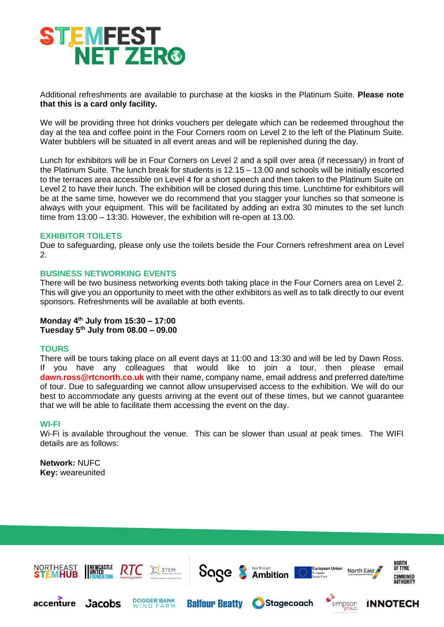

Additional refreshments are available to purchase at the kiosks in the Platinum Suite. **Please note that this is a card only facility.** 

We will be providing three hot drinks vouchers per delegate which can be redeemed throughout the day at the tea and coffee point in the Four Corners room on Level 2 to the left of the Platinum Suite. Water bubblers will be situated in all event areas and will be replenished during the day.

Lunch for exhibitors will be in Four Corners on Level 2 and a spill over area (if necessary) in front of the Platinum Suite. The lunch break for students is 12.15 – 13.00 and schools will be initially escorted to the terraces area accessible on Level 4 for a short speech and then taken to the Platinum Suite on Level 2 to have their lunch. The exhibition will be closed during this time. Lunchtime for exhibitors will be at the same time, however we do recommend that you stagger your lunches so that someone is always with your equipment. This will be facilitated by adding an extra 30 minutes to the set lunch time from 13:00 – 13:30. However, the exhibition will re-open at 13.00.

# **EXHIBITOR TOILETS**

Due to safeguarding, please only use the toilets beside the Four Corners refreshment area on Level 2.

# **BUSINESS NETWORKING EVENTS**

There will be two business networking events both taking place in the Four Corners area on Level 2. This will give you an opportunity to meet with the other exhibitors as well as to talk directly to our event sponsors. Refreshments will be available at both events.

#### **Monday 4th July from 15:30 – 17:00 Tuesday 5th July from 08.00 – 09.00**

#### **TOURS**

There will be tours taking place on all event days at 11:00 and 13:30 and will be led by Dawn Ross. If you have any colleagues that would like to join a tour, then please email **[dawn.ross@rtcnorth.co.uk](mailto:dawn.ross@rtcnorth.co.uk)** with their name, company name, email address and preferred date/time of tour. Due to safeguarding we cannot allow unsupervised access to the exhibition. We will do our best to accommodate any guests arriving at the event out of these times, but we cannot guarantee that we will be able to facilitate them accessing the event on the day.

#### **WI-FI**

Wi-Fi is available throughout the venue. This can be slower than usual at peak times. The WIFI details are as follows:

**Network:** NUFC **Key:** weareunited

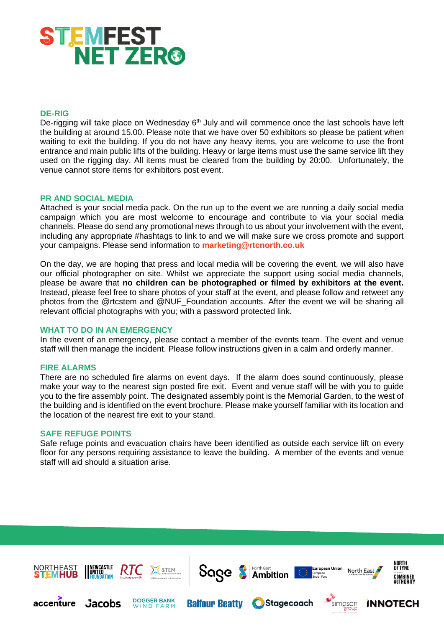

# **DE-RIG**

De-rigging will take place on Wednesday 6<sup>th</sup> July and will commence once the last schools have left the building at around 15.00. Please note that we have over 50 exhibitors so please be patient when waiting to exit the building. If you do not have any heavy items, you are welcome to use the front entrance and main public lifts of the building. Heavy or large items must use the same service lift they used on the rigging day. All items must be cleared from the building by 20:00. Unfortunately, the venue cannot store items for exhibitors post event.

#### **PR AND SOCIAL MEDIA**

Attached is your social media pack. On the run up to the event we are running a daily social media campaign which you are most welcome to encourage and contribute to via your social media channels. Please do send any promotional news through to us about your involvement with the event, including any appropriate #hashtags to link to and we will make sure we cross promote and support your campaigns. Please send information to **[marketing@rtcnorth.co.uk](mailto:marketing@rtcnorth.co.uk)**

On the day, we are hoping that press and local media will be covering the event, we will also have our official photographer on site. Whilst we appreciate the support using social media channels, please be aware that **no children can be photographed or filmed by exhibitors at the event.**  Instead, please feel free to share photos of your staff at the event, and please follow and retweet any photos from the @rtcstem and @NUF\_Foundation accounts. After the event we will be sharing all relevant official photographs with you; with a password protected link.

# **WHAT TO DO IN AN EMERGENCY**

In the event of an emergency, please contact a member of the events team. The event and venue staff will then manage the incident. Please follow instructions given in a calm and orderly manner.

#### **FIRE ALARMS**

There are no scheduled fire alarms on event days. If the alarm does sound continuously, please make your way to the nearest sign posted fire exit. Event and venue staff will be with you to guide you to the fire assembly point. The designated assembly point is the Memorial Garden, to the west of the building and is identified on the event brochure. Please make yourself familiar with its location and the location of the nearest fire exit to your stand.

#### **SAFE REFUGE POINTS**

Safe refuge points and evacuation chairs have been identified as outside each service lift on every floor for any persons requiring assistance to leave the building. A member of the events and venue staff will aid should a situation arise.

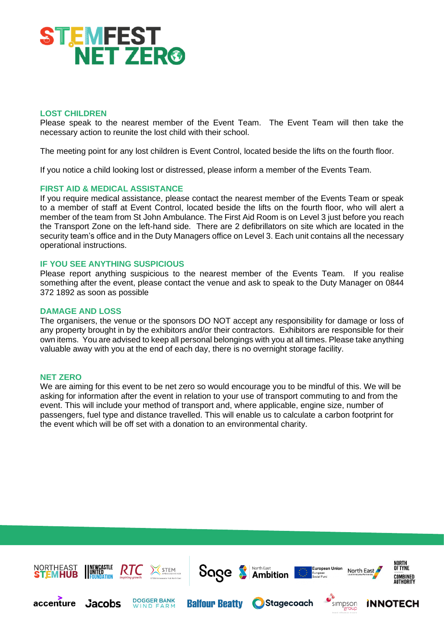

# **LOST CHILDREN**

Please speak to the nearest member of the Event Team. The Event Team will then take the necessary action to reunite the lost child with their school.

The meeting point for any lost children is Event Control, located beside the lifts on the fourth floor.

If you notice a child looking lost or distressed, please inform a member of the Events Team.

#### **FIRST AID & MEDICAL ASSISTANCE**

If you require medical assistance, please contact the nearest member of the Events Team or speak to a member of staff at Event Control, located beside the lifts on the fourth floor, who will alert a member of the team from St John Ambulance. The First Aid Room is on Level 3 just before you reach the Transport Zone on the left-hand side. There are 2 defibrillators on site which are located in the security team's office and in the Duty Managers office on Level 3. Each unit contains all the necessary operational instructions.

# **IF YOU SEE ANYTHING SUSPICIOUS**

Please report anything suspicious to the nearest member of the Events Team. If you realise something after the event, please contact the venue and ask to speak to the Duty Manager on 0844 372 1892 as soon as possible

#### **DAMAGE AND LOSS**

The organisers, the venue or the sponsors DO NOT accept any responsibility for damage or loss of any property brought in by the exhibitors and/or their contractors. Exhibitors are responsible for their own items. You are advised to keep all personal belongings with you at all times. Please take anything valuable away with you at the end of each day, there is no overnight storage facility.

#### **NET ZERO**

We are aiming for this event to be net zero so would encourage you to be mindful of this. We will be asking for information after the event in relation to your use of transport commuting to and from the event. This will include your method of transport and, where applicable, engine size, number of passengers, fuel type and distance travelled. This will enable us to calculate a carbon footprint for the event which will be off set with a donation to an environmental charity.

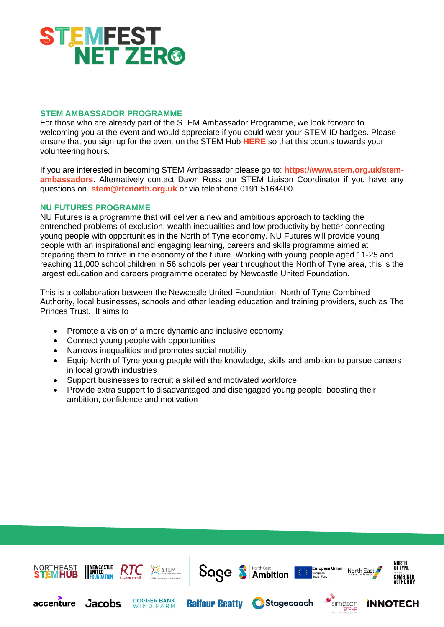

# **STEM AMBASSADOR PROGRAMME**

For those who are already part of the STEM Ambassador Programme, we look forward to welcoming you at the event and would appreciate if you could wear your STEM ID badges. Please ensure that you sign up for the event on the STEM Hub **[HERE](https://www.stem.org.uk/platform/activity/d7db5045-13db-4557-b8cf-a48b8bbf6ca1)** so that this counts towards your volunteering hours.

If you are interested in becoming STEM Ambassador please go to: **[https://www.stem.org.uk/stem](https://www.stem.org.uk/stem-ambassadors)[ambassadors](https://www.stem.org.uk/stem-ambassadors)**. Alternatively contact Dawn Ross our STEM Liaison Coordinator if you have any questions on **[stem@rtcnorth.org.uk](mailto:stem@rtcnorth.org.uk)** or via telephone 0191 5164400.

### **NU FUTURES PROGRAMME**

NU Futures is a programme that will deliver a new and ambitious approach to tackling the entrenched problems of exclusion, wealth inequalities and low productivity by better connecting young people with opportunities in the North of Tyne economy. NU Futures will provide young people with an inspirational and engaging learning, careers and skills programme aimed at preparing them to thrive in the economy of the future. Working with young people aged 11-25 and reaching 11,000 school children in 56 schools per year throughout the North of Tyne area, this is the largest education and careers programme operated by Newcastle United Foundation.

This is a collaboration between the Newcastle United Foundation, North of Tyne Combined Authority, local businesses, schools and other leading education and training providers, such as The Princes Trust. It aims to

- Promote a vision of a more dynamic and inclusive economy
- Connect young people with opportunities
- Narrows inequalities and promotes social mobility
- Equip North of Tyne young people with the knowledge, skills and ambition to pursue careers in local growth industries
- Support businesses to recruit a skilled and motivated workforce
- Provide extra support to disadvantaged and disengaged young people, boosting their ambition, confidence and motivation